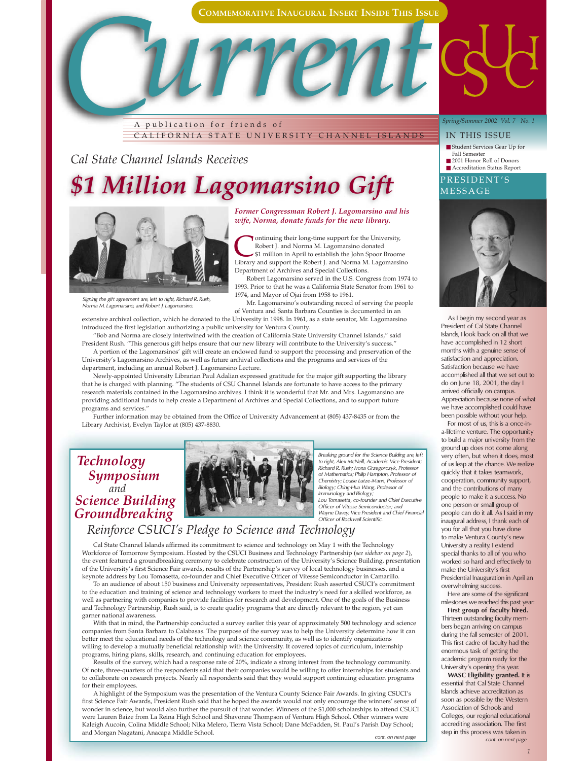

Robert J. and Norma M. Lagomarsino donated \$1 million in April to establish the John Spoor Broome

Robert Lagomarsino served in the U.S. Congress from 1974 to

Mr. Lagomarsino's outstanding record of serving the people

*C* A publication for friends of CALIFORNIA STATE UNIVERSITY CHANNEL ISLANDS

*Cal State Channel Islands Receives*

## *\$1 Million Lagomarsino Gift*



*Signing the gift agreement are, left to right, Richard R. Rush, Norma M. Lagomarsino, and Robert J. Lagomarsino.*

of Ventura and Santa Barbara Counties is documented in an extensive archival collection, which he donated to the University in 1998. In 1961, as a state senator, Mr. Lagomarsino introduced the first legislation authorizing a public university for Ventura County.

"Bob and Norma are closely intertwined with the creation of California State University Channel Islands," said President Rush. "This generous gift helps ensure that our new library will contribute to the University's success."

A portion of the Lagomarsinos' gift will create an endowed fund to support the processing and preservation of the University's Lagomarsino Archives, as well as future archival collections and the programs and services of the department, including an annual Robert J. Lagomarsino Lecture.

Newly-appointed University Librarian Paul Adalian expressed gratitude for the major gift supporting the library that he is charged with planning. "The students of CSU Channel Islands are fortunate to have access to the primary research materials contained in the Lagomarsino archives. I think it is wonderful that Mr. and Mrs. Lagomarsino are providing additional funds to help create a Department of Archives and Special Collections, and to support future programs and services."

Further information may be obtained from the Office of University Advancement at (805) 437-8435 or from the Library Archivist, Evelyn Taylor at (805) 437-8830.

*Technology Symposium Groundbreaking Science Building and* 



*Breaking ground for the Science Building are, left to right, Alex McNeill, Academic Vice President; Richard R. Rush; Ivona Grzegorczyk, Professor of Mathematics; Philip Hampton, Professor of Chemistry; Louise Lutze-Mann, Professor of Biology; Ching-Hua Wang, Professor of Immunology and Biology; Lou Tomasetta, co-founder and Chief Executive Officer of Vitesse Semiconductor; and Wayne Davey, Vice President and Chief Financial Officer of Rockwell Scientific.*

## *Reinforce CSUCI's Pledge to Science and Technology*

Cal State Channel Islands affirmed its commitment to science and technology on May 1 with the Technology Workforce of Tomorrow Symposium. Hosted by the CSUCI Business and Technology Partnership (*see sidebar on page 2*), the event featured a groundbreaking ceremony to celebrate construction of the University's Science Building, presentation of the University's first Science Fair awards, results of the Partnership's survey of local technology businesses, and a keynote address by Lou Tomasetta, co-founder and Chief Executive Officer of Vitesse Semiconductor in Camarillo.

To an audience of about 150 business and University representatives, President Rush asserted CSUCI's commitment to the education and training of science and technology workers to meet the industry's need for a skilled workforce, as well as partnering with companies to provide facilities for research and development. One of the goals of the Business and Technology Partnership, Rush said, is to create quality programs that are directly relevant to the region, yet can garner national awareness.

With that in mind, the Partnership conducted a survey earlier this year of approximately 500 technology and science companies from Santa Barbara to Calabasas. The purpose of the survey was to help the University determine how it can better meet the educational needs of the technology and science community, as well as to identify organizations willing to develop a mutually beneficial relationship with the University. It covered topics of curriculum, internship programs, hiring plans, skills, research, and continuing education for employees.

Results of the survey, which had a response rate of 20%, indicate a strong interest from the technology community. Of note, three-quarters of the respondents said that their companies would be willing to offer internships for students and to collaborate on research projects. Nearly all respondents said that they would support continuing education programs for their employees.

A highlight of the Symposium was the presentation of the Ventura County Science Fair Awards. In giving CSUCI's first Science Fair Awards, President Rush said that he hoped the awards would not only encourage the winners' sense of wonder in science, but would also further the pursuit of that wonder. Winners of the \$1,000 scholarships to attend CSUCI were Lauren Baize from La Reina High School and Shavonne Thompson of Ventura High School. Other winners were Kaleigh Aucoin, Colina Middle School; Nika Melero, Tierra Vista School; Dane McFadden, St. Paul's Parish Day School; and Morgan Nagatani, Anacapa Middle School. *cont. on next page cont. on next page*

#### *Spring/Summer 2002 Vol. 7 No. 1*

#### IN THIS ISSUE

■ Student Services Gear Up for Fall Semester

- 2001 Honor Roll of Donors
- Accreditation Status Report

#### PRESIDENT'S MESSAGE



As I begin my second year as President of Cal State Channel Islands, I look back on all that we have accomplished in 12 short months with a genuine sense of satisfaction and appreciation. Satisfaction because we have accomplished all that we set out to do on June 18, 2001, the day I arrived officially on campus. Appreciation because none of what we have accomplished could have been possible without your help.

For most of us, this is a once-ina-lifetime venture. The opportunity to build a major university from the ground up does not come along very often, but when it does, most of us leap at the chance. We realize quickly that it takes teamwork, cooperation, community support, and the contributions of many people to make it a success. No one person or small group of people can do it all. As I said in my inaugural address, I thank each of you for all that you have done to make Ventura County's new University a reality. I extend special thanks to all of you who worked so hard and effectively to make the University's first Presidential Inauguration in April an overwhelming success.

Here are some of the significant milestones we reached this past year:

**First group of faculty hired.** Thirteen outstanding faculty members began arriving on campus during the fall semester of 2001. This first cadre of faculty had the enormous task of getting the academic program ready for the University's opening this year.

**WASC Eligibility granted.** It is essential that Cal State Channel Islands achieve accreditation as soon as possible by the Western Association of Schools and Colleges, our regional educational accrediting association. The first step in this process was taken in<br>cont. on next page

*1*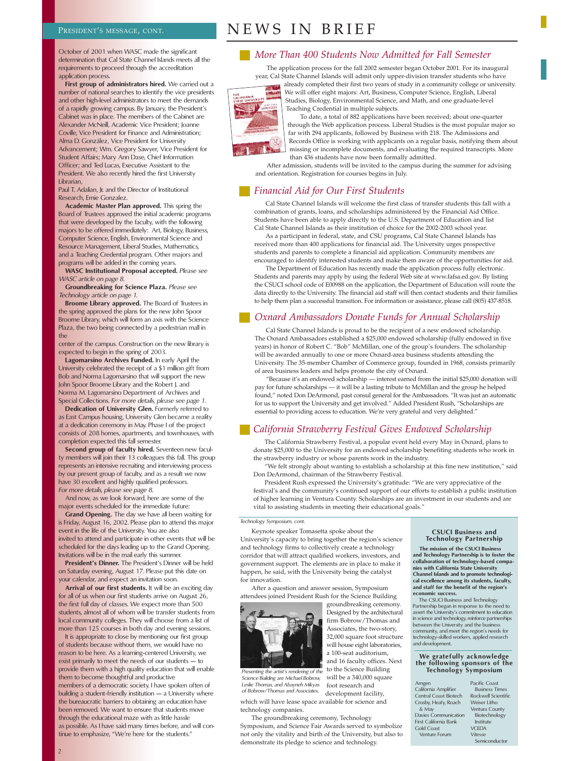## PRESIDENT'S MESSAGE, CONT.  $NENS$   $IN$   $BRIEF$

October of 2001 when WASC made the significant determination that Cal State Channel Islands meets all the requirements to proceed through the accreditation application process.

First group of administrators hired. We carried out a number of national searches to identify the vice presidents and other high-level administrators to meet the demands of a rapidly growing campus. By January, the President's Cabinet was in place. The members of the Cabinet are Alexander McNeill, Academic Vice President; Joanne Coville, Vice President for Finance and Administration; Alma D. González, Vice President for University Advancement; Wm. Gregory Sawyer, Vice President for Student Affairs; Mary Ann Dase, Chief Information Officer; and Ted Lucas, Executive Assistant to the President. We also recently hired the first University Librarian,

Paul T. Adalian, Jr. and the Director of Institutional Research, Ernie Gonzalez.

**Academic Master Plan approved.** This spring the Board of Trustees approved the initial academic programs that were developed by the faculty, with the following majors to be offered immediately: Art, Biology, Business, Computer Science, English, Environmental Science and Resource Management, Liberal Studies, Mathematics, and a Teaching Credential program. Other majors and programs will be added in the coming years.

**WASC Institutional Proposal accepted.** *Please see WASC article on page 8.*

**Groundbreaking for Science Plaza.** *Please see Technology article on page 1.* 

**Broome Library approved.** The Board of Trustees in the spring approved the plans for the new John Spoor Broome Library, which will form an axis with the Science Plaza, the two being connected by a pedestrian mall in the

center of the campus. Construction on the new library is expected to begin in the spring of 2003.

**Lagomarsino Archives Funded.** In early April the University celebrated the receipt of a \$1 million gift from Bob and Norma Lagomarsino that will support the new John Spoor Broome Library and the Robert J. and Norma M. Lagomarsino Department of Archives and Special Collections. *For more details, please see page 1.*

**Dedication of University Glen.** Formerly referred to as East Campus housing, University Glen became a reality at a dedication ceremony in May. Phase I of the project consists of 208 homes, apartments, and townhouses, with completion expected this fall semester.

**Second group of faculty hired.** Seventeen new faculty members will join their 13 colleagues this fall. This group represents an intensive recruiting and interviewing process by our present group of faculty, and as a result we now have 30 excellent and highly qualified professors. *For more details, please see page 8.*

And now, as we look forward, here are some of the major events scheduled for the immediate future:

**Grand Opening.** The day we have all been waiting for is Friday, August 16, 2002. Please plan to attend this major event in the life of the University. You are also invited to attend and participate in other events that will be scheduled for the days leading up to the Grand Opening. Invitations will be in the mail early this summer.

**President's Dinner.** The President's Dinner will be held on Saturday evening, August 17. Please put this date on your calendar, and expect an invitation soon.

**Arrival of our first students.** It will be an exciting day for all of us when our first students arrive on August 26, the first full day of classes. We expect more than 500 students, almost all of whom will be transfer students from local community colleges. They will choose from a list of more than 125 courses in both day and evening sessions.

It is appropriate to close by mentioning our first group of students because without them, we would have no reason to be here. As a learning-centered University, we exist primarily to meet the needs of our students — to provide them with a high quality education that will enable them to become thoughtful and productive members of a democratic society. I have spoken often of building a student-friendly institution — a University where the bureaucratic barriers to obtaining an education have been removed. We want to ensure that students move through the educational maze with as little hassle as possible. As I have said many times before, and will continue to emphasize, "We're here for the students."

### *More Than 400 Students Now Admitted for Fall Semester*

The application process for the fall 2002 semester began October 2001. For its inaugural year, Cal State Channel Islands will admit only upper-division transfer students who have already completed their first two years of study in a community college or university.

We will offer eight majors: Art, Business, Computer Science, English, Liberal Studies, Biology, Environmental Science, and Math, and one graduate-level



Teaching Credential in multiple subjects. To date, a total of 882 applications have been received; about one-quarter through the Web application process. Liberal Studies is the most popular major so far with 294 applicants, followed by Business with 218. The Admissions and Records Office is working with applicants on a regular basis, notifying them about missing or incomplete documents, and evaluating the required transcripts. More

than 436 students have now been formally admitted. After admission, students will be invited to the campus during the summer for advising and orientation. Registration for courses begins in July.

#### *Financial Aid for Our First Students*

Cal State Channel Islands will welcome the first class of transfer students this fall with a combination of grants, loans, and scholarships administered by the Financial Aid Office. Students have been able to apply directly to the U.S. Department of Education and list Cal State Channel Islands as their institution of choice for the 2002-2003 school year.

As a participant in federal, state, and CSU programs, Cal State Channel Islands has received more than 400 applications for financial aid. The University urges prospective students and parents to complete a financial aid application. Community members are encouraged to identify interested students and make them aware of the opportunities for aid.

The Department of Education has recently made the application process fully electronic. Students and parents may apply by using the federal Web site at www.fafsa.ed.gov. By listing the CSUCI school code of E00988 on the application, the Department of Education will route the data directly to the University. The financial aid staff will then contact students and their families to help them plan a successful transition. For information or assistance, please call (805) 437-8518.

#### *Oxnard Ambassadors Donate Funds for Annual Scholarship*

Cal State Channel Islands is proud to be the recipient of a new endowed scholarship. The Oxnard Ambassadors established a \$25,000 endowed scholarship (fully endowed in five years) in honor of Robert C. "Bob" McMillan, one of the group's founders. The scholarship will be awarded annually to one or more Oxnard-area business students attending the University. The 35-member Chamber of Commerce group, founded in 1968, consists primarily of area business leaders and helps promote the city of Oxnard.

"Because it's an endowed scholarship — interest earned from the initial \$25,000 donation will pay for future scholarships — it will be a lasting tribute to McMillan and the group he helped found," noted Don DeArmond, past consul general for the Ambassadors. "It was just an automatic for us to support the University and get involved." Added President Rush, "Scholarships are essential to providing access to education. We're very grateful and very delighted."

#### *California Strawberry Festival Gives Endowed Scholarship*

groundbreaking ceremony. Designed by the architectural firm Bobrow/Thomas and Associates, the two-story, 32,000 square foot structure will house eight laboratories, a 100-seat auditorium, and 16 faculty offices. Next

will be a 340,000 square foot research and development facility,

The California Strawberry Festival, a popular event held every May in Oxnard, plans to donate \$25,000 to the University for an endowed scholarship benefiting students who work in the strawberry industry or whose parents work in the industry.

"We felt strongly about wanting to establish a scholarship at this fine new institution," said Don DeArmond, chairman of the Strawberry Festival.

President Rush expressed the University's gratitude: "We are very appreciative of the festival's and the community's continued support of our efforts to establish a public institution of higher learning in Ventura County. Scholarships are an investment in our students and are vital to assisting students in meeting their educational goals."

#### *Technology Symposium, cont.*

Keynote speaker Tomasetta spoke about the University's capacity to bring together the region's science and technology firms to collectively create a technology corridor that will attract qualified workers, investors, and government support. The elements are in place to make it happen, he said, with the University being the catalyst for innovation.

After a question and answer session, Symposium attendees joined President Rush for the Science Building



*Presenting the artist's rendering of the Science Building are Michael Bobrow, Leslie Thomas, and Abayneh Mikyas of Bobrow/Thomas and Associates.*

which will have lease space available for science and technology companies

The groundbreaking ceremony, Technology Symposium, and Science Fair Awards served to symbolize not only the vitality and birth of the University, but also to demonstrate its pledge to science and technology.

#### **CSUCI Business and Technology Partnership**

**The mission of the CSUCI Business and Technology Partnership is to foster the collaboration of technology-based compa-nies with California State University Channel Islands and to promote technologi-cal excellence among its students, faculty, and staff for the benefit of the region's economic success.** 

The CSUCI Business and Technology Partnership began in response to the need to assert the University's commitment to education in science and technology, reinforce partnerships between the University and the business community, and meet the region's needs for technology-skilled workers, applied research and development.

## **We gratefully acknowledge the following sponsors of the Technology Symposium**

| Amgen                        | Pacific Coast         |
|------------------------------|-----------------------|
| California Amplifier         | <b>Business Times</b> |
| Central Coast Biotech        | Rockwell Scientific   |
| Crosby, Heafy, Roach         | Weiser Litho          |
| & May                        | Ventura County        |
| <b>Davies Communication</b>  | Biotechnology         |
| <b>First California Bank</b> | Institute             |
| Gold Coast                   | <b>VCFDA</b>          |
| <b>Venture Forum</b>         | Vitesse               |
|                              | Semiconductor         |
|                              |                       |

*2*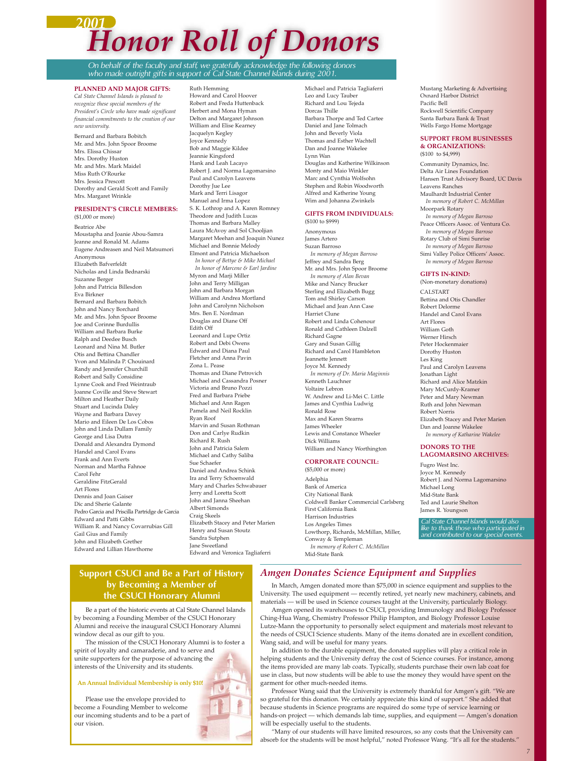## *2001 Honor Roll of Donors*

*On behalf of the faculty and staff, we gratefully acknowledge the following donors who made outright gifts in support of Cal State Channel Islands during 2001.*

#### **PLANNED AND MAJOR GIFTS:**

*Cal State Channel Islands is pleased to recognize these special members of the President's Circle who have made significant financial commitments to the creation of our new university.*

Bernard and Barbara Bobitch Mr. and Mrs. John Spoor Broome Mrs. Elissa Chissar Mrs. Dorothy Huston Mr. and Mrs. Mark Maidel Miss Ruth O'Rourke Mrs. Jessica Prescott Dorothy and Gerald Scott and Family Mrs. Margaret Wrinkle

#### **PRESIDENT'S CIRCLE MEMBERS:**

(\$1,000 or more) Beatrice Abe Moustapha and Joanie Abou-Samra Jeanne and Ronald M. Adams Eugene Andreasen and Neil Matsumori Anonymous Elizabeth Bafverfeldt Nicholas and Linda Bednarski Suzanne Berger John and Patricia Billesdon Eva Birkner Bernard and Barbara Bobitch John and Nancy Borchard Mr. and Mrs. John Spoor Broome Joe and Corinne Burdullis William and Barbara Burke Ralph and Deedee Busch Leonard and Nina M. Butler Otis and Bettina Chandler Yvon and Malinda P. Chouinard Randy and Jennifer Churchill Robert and Sally Considine Lynne Cook and Fred Weintraub Joanne Coville and Steve Stewart Milton and Heather Daily Stuart and Lucinda Daley Wayne and Barbara Davey Mario and Eileen De Los Cobos John and Linda Dullam Family George and Lisa Dutra Donald and Alexandra Dymond Handel and Carol Evans Frank and Ann Everts Norman and Martha Fahnoe Carol Fehr Geraldine FitzGerald Art Flores Dennis and Joan Gaiser Dic and Sherie Galante Pedro Garcia and Priscilla Partridge de Garcia Edward and Patti Gibbs William R. and Nancy Covarrubias Gill Gail Gius and Family John and Elizabeth Grether Edward and Lillian Hawthorne

Ruth Hemming Howard and Carol Hoover Robert and Freda Huttenback Herbert and Mona Hyman Delton and Margaret Johnson William and Elise Kearney Jacquelyn Kegley Joyce Kennedy Bob and Maggie Kildee Jeannie Kingsford .<br>Hank and Leah Lacayo Robert J. and Norma Lagomarsino Paul and Carolyn Leavens Dorothy Jue Lee Mark and Terri Lisagor Manuel and Irma Lopez S. K. Lothrop and A. Karen Romney Theodore and Judith Lucas Thomas and Barbara Malley Laura McAvoy and Sol Chooljian Margaret Meehan and Joaquin Nunez Michael and Bonnie Melody Elmont and Patricia Michaelson *In honor of Bettye & Mike Michael In honor of Marcene & Earl Jardine* Myron and Marii Miller John and Terry Milligan John and Barbara Morgan William and Andrea Mortland John and Carolynn Nicholson Mrs. Ben E. Nordman Douglas and Diane Off Edith Off Leonard and Lupe Ortiz Robert and Debi Owens Edward and Diana Paul Fletcher and Anna Pavin Zona L. Pease Thomas and Diane Petrovich Michael and Cassandra Posner Victoria and Bruno Pozzi Fred and Barbara Priebe Michael and Ann Ragen Pamela and Neil Rocklin Ryan Roof Marvin and Susan Rothman Don and Carlye Rudkin Richard R. Rush John and Patricia Salem Michael and Cathy Saliba Sue Schaefer Daniel and Andrea Schink Ira and Terry Schoenwald Mary and Charles Schwabauer Jerry and Loretta Scott John and Janna Sheehan Albert Simonds Craig Skeels Elizabeth Stacey and Peter Marien Henry and Susan Stoutz Sandra Sutphen Jane Sweetland Edward and Veronica Tagliaferri

Michael and Patricia Tagliaferri Leo and Lucy Tauber Richard and Lou Tejeda Dorcas Thille Barbara Thorpe and Ted Cartee Daniel and Jane Tolmach John and Beverly Viola Thomas and Esther Wachtell Dan and Joanne Wakelee Lynn Wan Douglas and Katherine Wilkinson Monty and Maio Winkler Marc and Cynthia Wolfsohn Stephen and Robin Woodworth Alfred and Katherine Young Wim and Johanna Zwinkels

#### **GIFTS FROM INDIVIDUALS:** (\$100 to \$999)

Anonymous James Artero Suzan Barroso *In memory of Megan Barroso* Jeffrey and Sandra Berg Mr. and Mrs. John Spoor Broome *In memory of Alan Bevan* Mike and Nancy Brucker Sterling and Elizabeth Bugg Tom and Shirley Carson Michael and Jean Ann Case Harriet Clune Robert and Linda Cohenour Ronald and Cathleen Dalzell Richard Gagne Gary and Susan Gillig Richard and Carol Hambleton Jeannette Jennett Joyce M. Kennedy *In memory of Dr. Maria Maginnis* Kenneth Lauchner Voltaire Lebron W. Andrew and Li-Mei C. Little James and Cynthia Ludwig .<br>Ronald Rose Max and Karen Stearns James Wheeler Lewis and Constance Wheeler Dick Williams William and Nancy Worthington **CORPORATE COUNCIL:**

### (\$5,000 or more)

Adelphia Bank of America City National Bank Coldwell Banker Commercial Carlsberg First California Bank Harrison Industries Los Angeles Times Lowthorp, Richards, McMillan, Miller, Conway & Templeman *In memory of Robert C. McMillan* Mid-State Bank

Mustang Marketing & Advertising Oxnard Harbor District Pacific Bell Rockwell Scientific Company Santa Barbara Bank & Trust Wells Fargo Home Mortgage

#### **SUPPORT FROM BUSINESSES & ORGANIZATIONS:** (\$100 to \$4,999)

Community Dynamics, Inc. Delta Air Lines Foundation Hansen Trust Advisory Board, UC Davis Leavens Ranches Maulhardt Industrial Center *In memory of Robert C. McMillan* Moorpark Rotary *In memory of Megan Barroso* Peace Officers Assoc. of Ventura Co. *In memory of Megan Barroso* Rotary Club of Simi Sunrise *In memory of Megan Barroso* Simi Valley Police Officers' Assoc. *In memory of Megan Barroso*

#### **GIFTS IN-KIND:**

(Non-monetary donations) CALSTART Bettina and Otis Chandler Robert Delorme Handel and Carol Evans Art Flores William Goth Werner Hirsch Peter Hockenmaier Dorothy Huston Les King Paul and Carolyn Leavens Jonathan Light Richard and Alice Matzkin Mary McCurdy-Kramer Peter and Mary Newman Ruth and John Newman Robert Norris Elizabeth Stacey and Peter Marien Dan and Joanne Wakelee *In memory of Katharine Wakelee*

#### **DONORS TO THE LAGOMARSINO ARCHIVES:**

Fugro West Inc. Joyce M. Kennedy Robert J. and Norma Lagomarsino Michael Long Mid-State Bank Ted and Laurie Shelton James R. Youngson

*Cal State Channel Islands would also like to thank those who participated in and contributed to our special* 

### **Support CSUCI and Be a Part of History by Becoming a Member of the CSUCI Honorary Alumni**

Be a part of the historic events at Cal State Channel Islands by becoming a Founding Member of the CSUCI Honorary Alumni and receive the inaugural CSUCI Honorary Alumni window decal as our gift to you.

The mission of the CSUCI Honorary Alumni is to foster a spirit of loyalty and camaraderie, and to serve and unite supporters for the purpose of advancing the interests of the University and its students.

#### **An Annual Individual Membership is only \$10!**

Please use the envelope provided to become a Founding Member to welcome our incoming students and to be a part of our vision.

### *Amgen Donates Science Equipment and Supplies*

In March, Amgen donated more than \$75,000 in science equipment and supplies to the University. The used equipment — recently retired, yet nearly new machinery, cabinets, and materials — will be used in Science courses taught at the University, particularly Biology.

Amgen opened its warehouses to CSUCI, providing Immunology and Biology Professor Ching-Hua Wang, Chemistry Professor Philip Hampton, and Biology Professor Louise Lutze-Mann the opportunity to personally select equipment and materials most relevant to the needs of CSUCI Science students. Many of the items donated are in excellent condition, Wang said, and will be useful for many years.

In addition to the durable equipment, the donated supplies will play a critical role in helping students and the University defray the cost of Science courses. For instance, among the items provided are many lab coats. Typically, students purchase their own lab coat for use in class, but now students will be able to use the money they would have spent on the garment for other much-needed items.

Professor Wang said that the University is extremely thankful for Amgen's gift. "We are so grateful for this donation. We certainly appreciate this kind of support." She added that because students in Science programs are required do some type of service learning or hands-on project — which demands lab time, supplies, and equipment — Amgen's donation will be especially useful to the students.

"Many of our students will have limited resources, so any costs that the University can absorb for the students will be most helpful," noted Professor Wang. "It's all for the students."